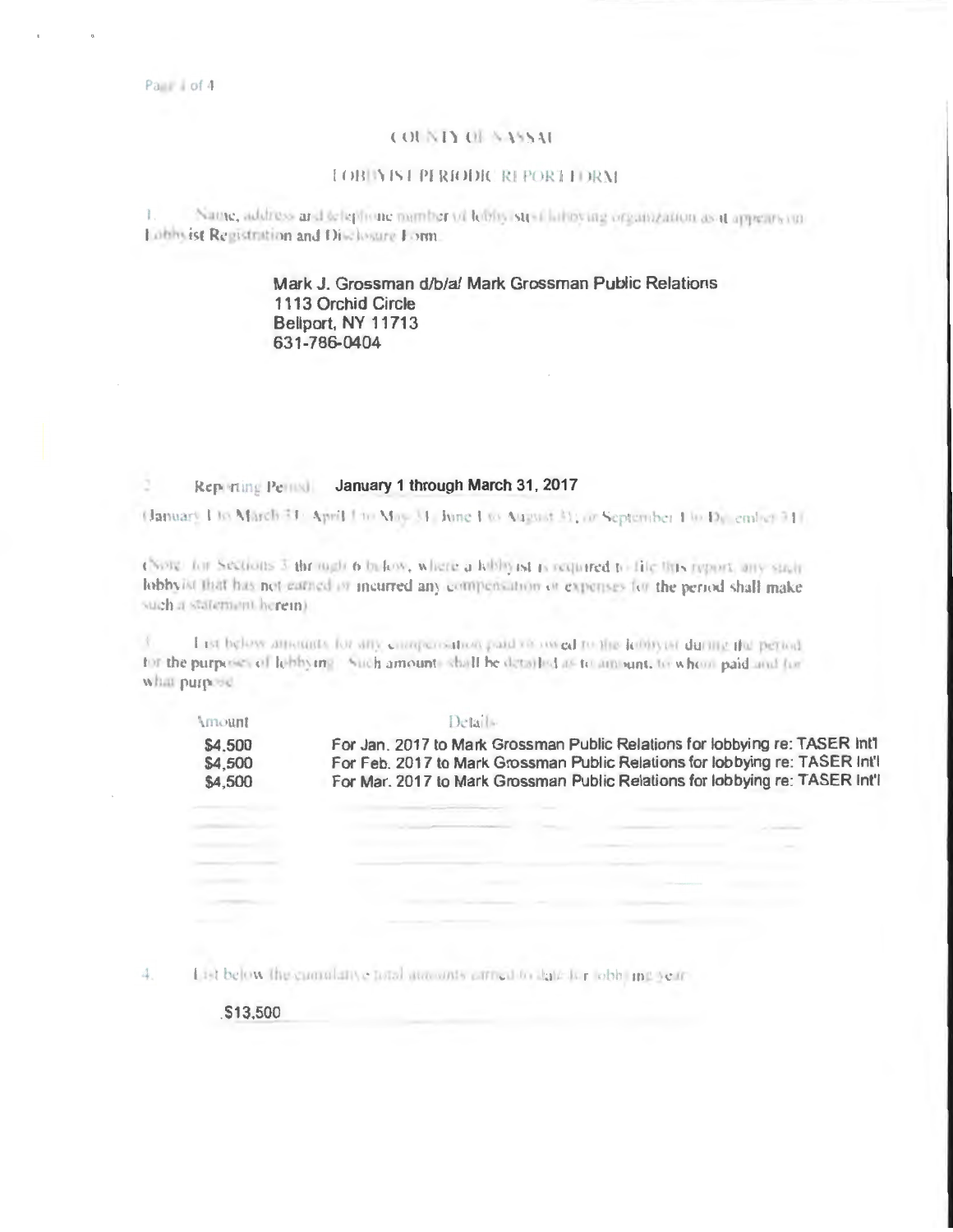### **COUNTY OF SASSAE**

## **LOB IN IST PERIODIC REPORT FORM**

Name, address and telephone number of lebby strail laboving organization as it appears on ī. Lübbsist Registration and Disclosure Form.

# Mark J. Grossman d/b/a/ Mark Grossman Public Relations 1113 Orchid Circle Bellport, NY 11713 631-786-0404

#### Reporting Pennel January 1 through March 31, 2017 õ.

(January Lio March 31: April Lio May 31: June Lio August 31; or September 1 to Dy ember 31).

(Note: for Sections 3 through 6 bi-low, where a kibbyist is required to file this report, any stair lobbyist that has not earned in incurred any compensation or expenses for the period shall make such a statement herein).

 $\bar{\chi}$ I ist below amounts for any compensation paid vicewed to the known during the period. for the purposes of lobbying. Such amounts shall be detailed as to amount, to whom paid and for what purpose.

| , пилин | 1 10 LA 1 1 1 1 1                                                            |
|---------|------------------------------------------------------------------------------|
| \$4,500 | For Jan. 2017 to Mark Grossman Public Relations for lobbying re: TASER Int1  |
| \$4,500 | For Feb. 2017 to Mark Grossman Public Relations for lobbying re: TASER Int'l |
| \$4,500 | For Mar. 2017 to Mark Grossman Public Relations for lobbying re: TASER Int'l |
|         |                                                                              |

|                   | the process of the company's company's com-                            | <b>Contractor</b>                            |                            |                |
|-------------------|------------------------------------------------------------------------|----------------------------------------------|----------------------------|----------------|
|                   |                                                                        |                                              |                            |                |
|                   |                                                                        |                                              |                            | <b>COMPANY</b> |
|                   |                                                                        |                                              | <b>CARL THE TELEVISION</b> |                |
|                   | changed control                                                        |                                              | <b>CONSTRUCTION</b>        |                |
|                   |                                                                        |                                              |                            |                |
| <b>CONTRACTOR</b> | the contract of the company's contract of the company's company's con- | the control of the control of the control of |                            |                |

List below the cumulative total atmospherican to date for obb. ing year-4.

\$13,500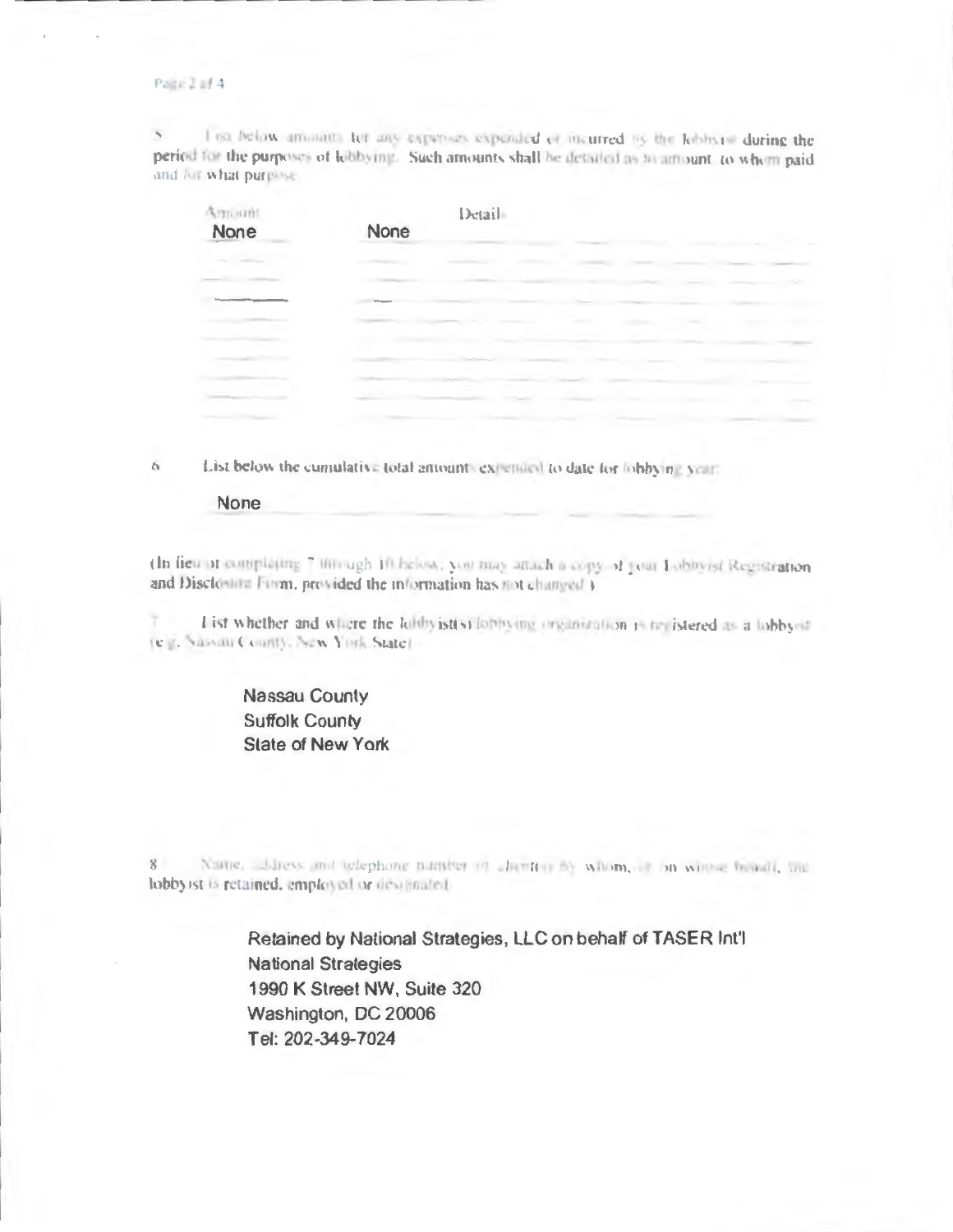### Page I of 4

I ist below amotives for any experience expended of incurred by the lobbars' during the period for the purposes of lobbying. Such amounts shall be detailed as an amount, to where paid and for what purpose.

| Arrount | Detail |
|---------|--------|
| None    | None   |
|         |        |
|         |        |
|         |        |
|         |        |
|         |        |
|         |        |
|         |        |
|         |        |
|         |        |

List below the cumulative total amounts expended to date for lobbying year.  $\overline{a}$ 

### None

(In lieu or completing 7 through 10 below, you may attach a copy of your Lobbyrst Registration and Disclosure Form, provided the information has not changed }

I ist whether and where the lubbyist(s) lobbying organization is traistered as a lobby-in (e.g. Nassau County, New York State).

# **Nassau County Suffolk County** State of New York

 $8$ Name, address and telephone nameer of algentary by whom, it in written beauti, and lobbyrst is retained, employed or descripated

> Retained by National Strategies, LLC on behalf of TASER Int'l **National Strategies** 1990 K Street NW, Suite 320 Washington, DC 20006 Tel: 202-349-7024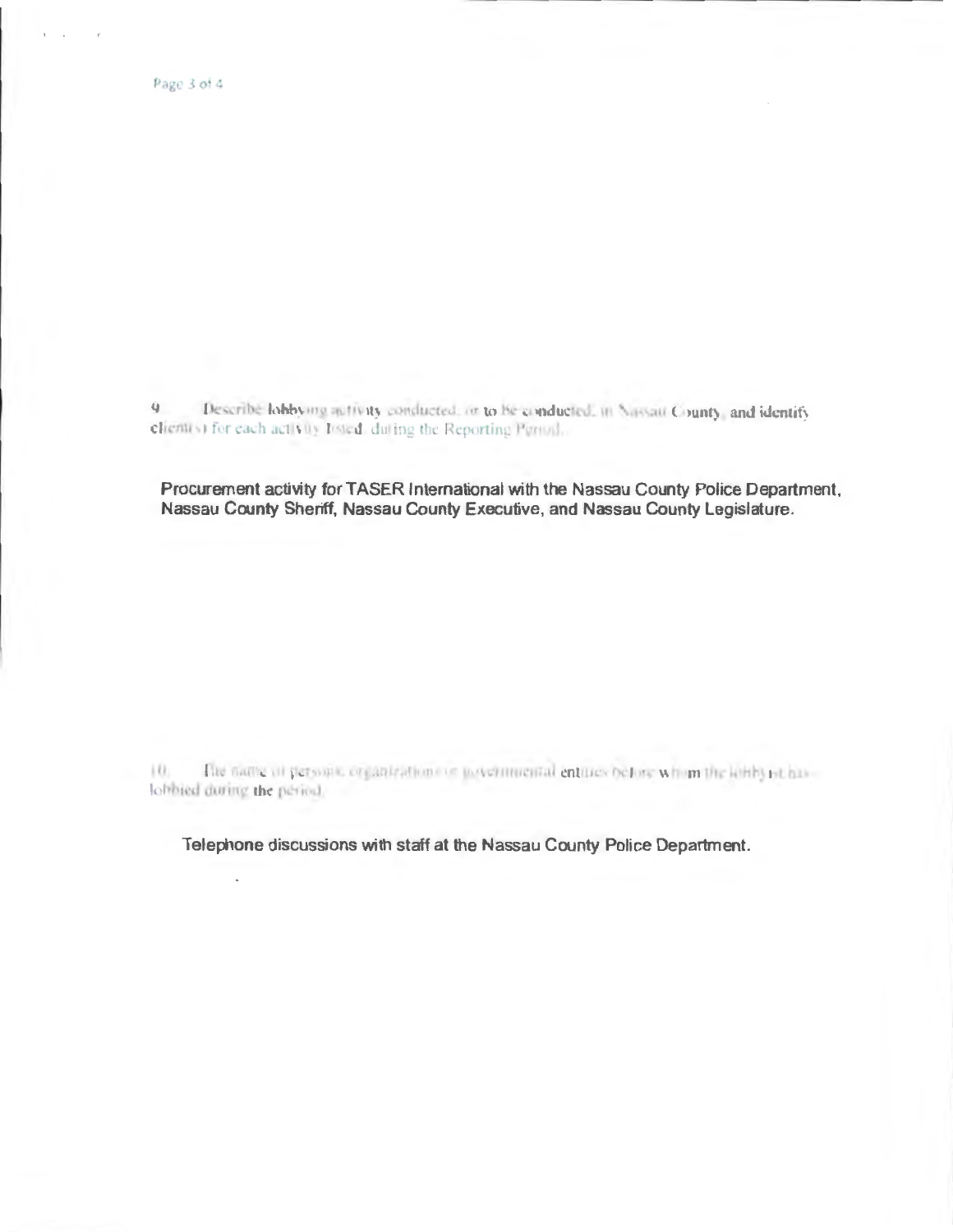Describe lobbying activity conducted, or to be conducted, in Nassau County, and identify 身. client(s) for each activity Iosted, duting the Reporting Period...

Procurement activity for TASER International with the Nassau County Police Department, Nassau County Sheriff, Nassau County Executive, and Nassau County Legislature.

The name of persons, organizations or joycenmental entities before whom the lottly ist has  $|0\rangle$ lobbied during the period.

Telephone discussions with staff at the Nassau County Police Department.